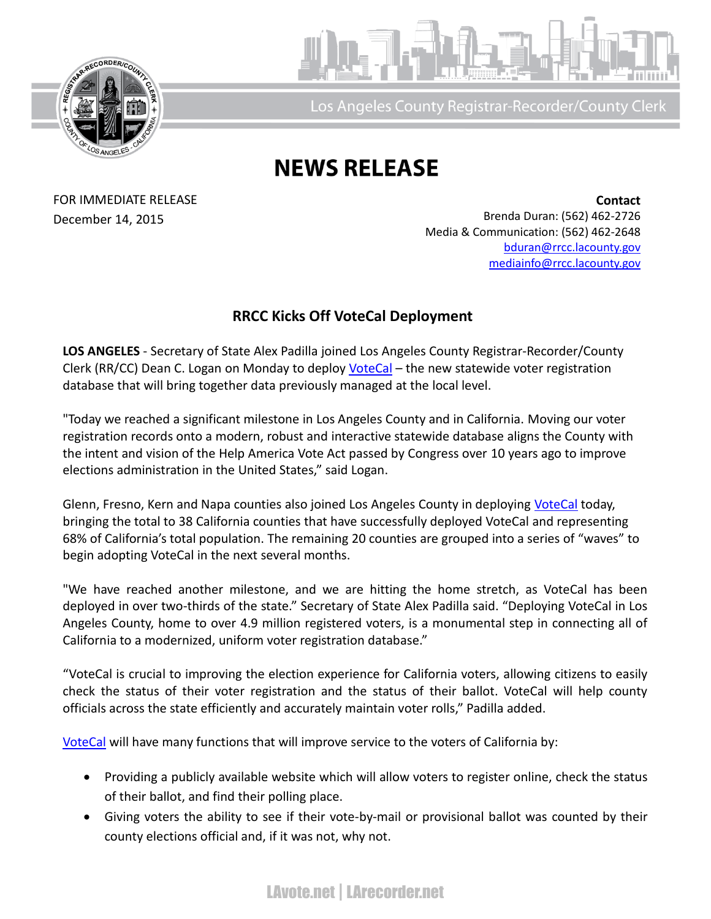



Los Angeles County Registrar-Recorder/County Clerl

## **NEWS RELEASE**

FOR IMMEDIATE RELEASE December 14, 2015

**Contact** Brenda Duran: (562) 462-2726 Media & Communication: (562) 462-2648 [bduran@rrcc.lacounty.gov](mailto:bduran@rrcc.lacounty.gov) [mediainfo@rrcc.lacounty.gov](mailto:mediainfo@rrcc.lacounty.gov)

## **RRCC Kicks Off VoteCal Deployment**

**LOS ANGELES** - Secretary of State Alex Padilla joined Los Angeles County Registrar-Recorder/County Clerk (RR/CC) Dean C. Logan on Monday to deploy [VoteCal](http://www.sos.ca.gov/elections/voter-registration/votecal-project/votecal-deployment-status/) – the new statewide voter registration database that will bring together data previously managed at the local level.

"Today we reached a significant milestone in Los Angeles County and in California. Moving our voter registration records onto a modern, robust and interactive statewide database aligns the County with the intent and vision of the Help America Vote Act passed by Congress over 10 years ago to improve elections administration in the United States," said Logan.

Glenn, Fresno, Kern and Napa counties also joined Los Angeles County in deploying [VoteCal](http://www.sos.ca.gov/elections/voter-registration/votecal-project/votecal-deployment-status/) today, bringing the total to 38 California counties that have successfully deployed VoteCal and representing 68% of California's total population. The remaining 20 counties are grouped into a series of "waves" to begin adopting VoteCal in the next several months.

"We have reached another milestone, and we are hitting the home stretch, as VoteCal has been deployed in over two-thirds of the state." Secretary of State Alex Padilla said. "Deploying VoteCal in Los Angeles County, home to over 4.9 million registered voters, is a monumental step in connecting all of California to a modernized, uniform voter registration database."

"VoteCal is crucial to improving the election experience for California voters, allowing citizens to easily check the status of their voter registration and the status of their ballot. VoteCal will help county officials across the state efficiently and accurately maintain voter rolls," Padilla added.

[VoteCal](http://www.sos.ca.gov/elections/voter-registration/votecal-project/votecal-deployment-status/) will have many functions that will improve service to the voters of California by:

- Providing a publicly available website which will allow voters to register online, check the status of their ballot, and find their polling place.
- Giving voters the ability to see if their vote-by-mail or provisional ballot was counted by their county elections official and, if it was not, why not.

LAvote.net | LArecorder.net